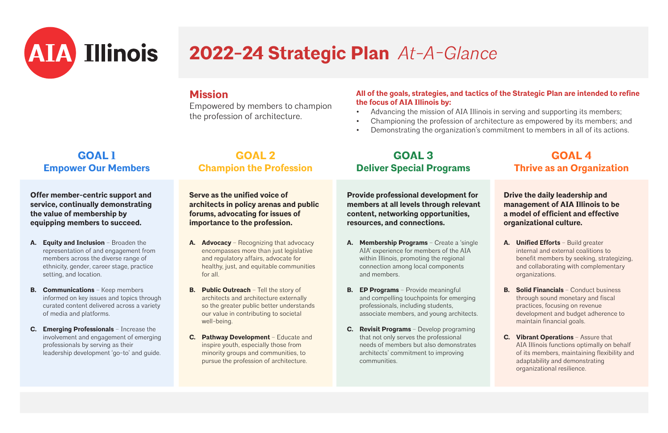#### **Mission**

Empowered by members to champion the profession of architecture.

#### **All of the goals, strategies, and tactics of the Strategic Plan are intended to refine the focus of AIA Illinois by:**

- 
- 
- 

• Advancing the mission of AIA Illinois in serving and supporting its members; • Championing the profession of architecture as empowered by its members; and • Demonstrating the organization's commitment to members in all of its actions.

#### **GOAL 1 Empower Our Members**

**Offer member-centric support and service, continually demonstrating the value of membership by equipping members to succeed.**

- **A. Equity and Inclusion** Broaden the representation of and engagement from members across the diverse range of ethnicity, gender, career stage, practice setting, and location.
- **B. Communications** Keep members informed on key issues and topics through curated content delivered across a variety of media and platforms.
- **C. Emerging Professionals** Increase the involvement and engagement of emerging professionals by serving as their leadership development 'go-to' and guide.

#### **GOAL 2 Champion the Profession**

**Serve as the unified voice of architects in policy arenas and public forums, advocating for issues of importance to the profession.**

- **A. Advocacy**  Recognizing that advocacy encompasses more than just legislative and regulatory affairs, advocate for healthy, just, and equitable communities for all.
- **B.** Public Outreach Tell the story of architects and architecture externally so the greater public better understands our value in contributing to societal well-being.
- **C. Pathway Development**  Educate and inspire youth, especially those from minority groups and communities, to pursue the profession of architecture.

### **GOAL 3 Deliver Special Programs**

**Provide professional development for members at all levels through relevant content, networking opportunities, resources, and connections.**

- **A. Membership Programs** Create a 'single AIA' experience for members of the AIA within Illinois, promoting the regional connection among local components and members.
- **B. EP Programs**  Provide meaningful and compelling touchpoints for emerging professionals, including students, associate members, and young architects.
- **C. Revisit Programs**  Develop programing that not only serves the professional needs of members but also demonstrates architects' commitment to improving communities.



#### **GOAL 4 Thrive as an Organization**

**Drive the daily leadership and management of AIA Illinois to be a model of efficient and effective organizational culture.**

- **A. Unified Efforts**  Build greater internal and external coalitions to benefit members by seeking, strategizing, and collaborating with complementary organizations.
- **B. Solid Financials**  Conduct business through sound monetary and fiscal practices, focusing on revenue development and budget adherence to maintain financial goals.
- **C. Vibrant Operations** Assure that AIA Illinois functions optimally on behalf of its members, maintaining flexibility and adaptability and demonstrating organizational resilience.



# **2022-24 Strategic Plan** *At-A-Glance*